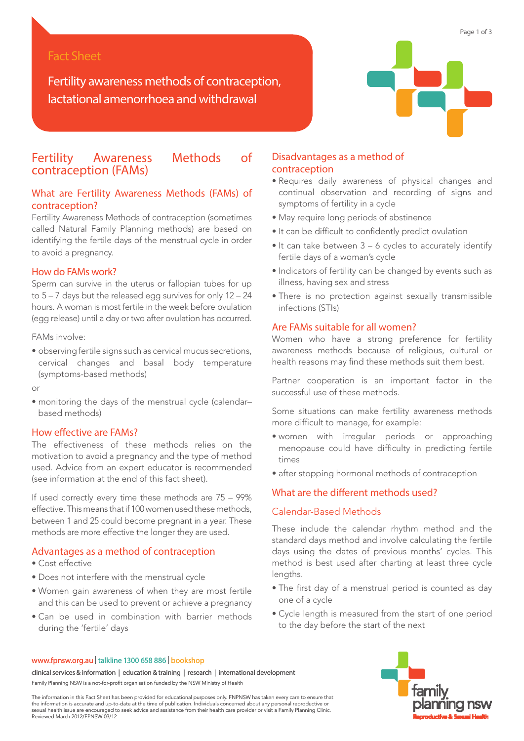# Fact Sheet

Fertility awareness methods of contraception, lactational amenorrhoea and withdrawal

# Fertility Awareness Methods of contraception (FAMs)

# What are Fertility Awareness Methods (FAMs) of contraception?

Fertility Awareness Methods of contraception (sometimes called Natural Family Planning methods) are based on identifying the fertile days of the menstrual cycle in order to avoid a pregnancy.

# How do FAMs work?

Sperm can survive in the uterus or fallopian tubes for up to 5 – 7 days but the released egg survives for only 12 – 24 hours. A woman is most fertile in the week before ovulation (egg release) until a day or two after ovulation has occurred.

FAMs involve:

• observing fertile signs such as cervical mucus secretions, cervical changes and basal body temperature (symptoms-based methods)

or

• monitoring the days of the menstrual cycle (calendar– based methods)

## How effective are FAMs?

The effectiveness of these methods relies on the motivation to avoid a pregnancy and the type of method used. Advice from an expert educator is recommended (see information at the end of this fact sheet).

If used correctly every time these methods are 75 – 99% effective. This means that if 100 women used these methods, between 1 and 25 could become pregnant in a year. These methods are more effective the longer they are used.

## Advantages as a method of contraception

- Cost effective
- Does not interfere with the menstrual cycle
- Women gain awareness of when they are most fertile and this can be used to prevent or achieve a pregnancy
- Can be used in combination with barrier methods during the 'fertile' days

# Disadvantages as a method of contraception

- Requires daily awareness of physical changes and continual observation and recording of signs and symptoms of fertility in a cycle
- May require long periods of abstinence
- It can be difficult to confidently predict ovulation
- It can take between 3 6 cycles to accurately identify fertile days of a woman's cycle
- Indicators of fertility can be changed by events such as illness, having sex and stress
- There is no protection against sexually transmissible infections (STIs)

# Are FAMs suitable for all women?

Women who have a strong preference for fertility awareness methods because of religious, cultural or health reasons may find these methods suit them best.

Partner cooperation is an important factor in the successful use of these methods.

Some situations can make fertility awareness methods more difficult to manage, for example:

- women with irregular periods or approaching menopause could have difficulty in predicting fertile times
- after stopping hormonal methods of contraception

# What are the different methods used?

### Calendar-Based Methods

These include the calendar rhythm method and the standard days method and involve calculating the fertile days using the dates of previous months' cycles. This method is best used after charting at least three cycle lengths.

- The first day of a menstrual period is counted as day one of a cycle
- Cycle length is measured from the start of one period to the day before the start of the next



# www.fpnsw.org.au | talkline 1300 658 886 | bookshop

clinical services & information | education & training | research | international development Family Planning NSW is a not-for-profit organisation funded by the NSW Ministry of Health

The information in this Fact Sheet has been provided for educational purposes only. FNPNSW has taken every care to ensure that<br>the information is accurate and up-to-date at the time of publication. Individuals concerned ab sexual health issue are encouraged to seek advice and assistance from their health care provider or visit a Family Planning Clinic. Reviewed March 2012/FPNSW 03/12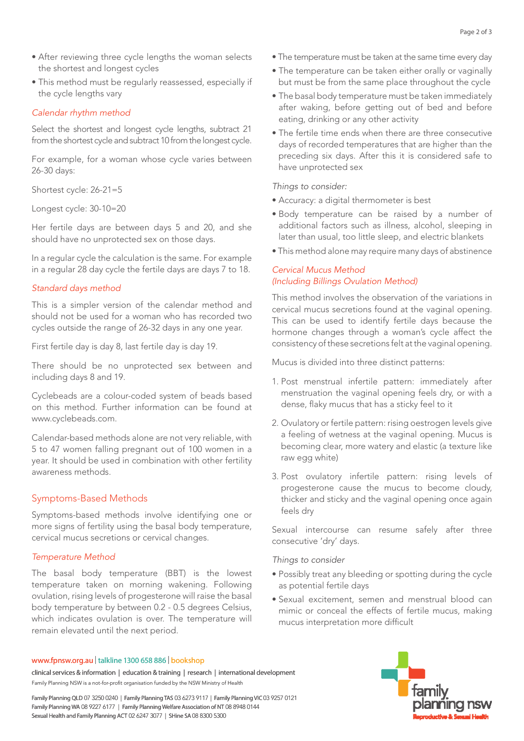- the shortest and longest cycles
- This method must be regularly reassessed, especially if the cycle lengths vary

## *Calendar rhythm method*

Select the shortest and longest cycle lengths, subtract 21 from the shortest cycle and subtract 10 from the longest cycle.

For example, for a woman whose cycle varies between 26-30 days:

Shortest cycle: 26-21=5

Longest cycle: 30-10=20

Her fertile days are between days 5 and 20, and she should have no unprotected sex on those days.

In a regular cycle the calculation is the same. For example in a regular 28 day cycle the fertile days are days 7 to 18.

### *Standard days method*

This is a simpler version of the calendar method and should not be used for a woman who has recorded two cycles outside the range of 26-32 days in any one year.

First fertile day is day 8, last fertile day is day 19.

There should be no unprotected sex between and including days 8 and 19.

Cyclebeads are a colour-coded system of beads based on this method. Further information can be found at www.cyclebeads.com.

Calendar-based methods alone are not very reliable, with 5 to 47 women falling pregnant out of 100 women in a year. It should be used in combination with other fertility awareness methods.

# Symptoms-Based Methods

Symptoms-based methods involve identifying one or more signs of fertility using the basal body temperature, cervical mucus secretions or cervical changes.

## *Temperature Method*

e After reviewing three cycle lengths the woman selects<br>
the shorests and longest cycles<br>
This method must be regularly reassessed, especially if<br>
the cylc lengths any<br>
of Calendar rhythm method<br>
Select the shortest and lo The basal body temperature (BBT) is the lowest temperature taken on morning wakening. Following ovulation, rising levels of progesterone will raise the basal body temperature by between 0.2 - 0.5 degrees Celsius, which indicates ovulation is over. The temperature will remain elevated until the next period.

## www.fpnsw.org.au | talkline 1300 658 886 | bookshop

clinical services & information | education & training | research | international development Family Planning NSW is a not-for-profit organisation funded by the NSW Ministry of Health

Family Planning QLD 07 3250 0240 | Family Planning TAS 03 6273 9117 | Family Planning VIC 03 9257 0121 Family Planning WA 08 9227 6177 | Family Planning Welfare Association of NT 08 8948 0144 Sexual Health and Family Planning ACT 02 6247 3077 | SHine SA 08 8300 5300

- The temperature must be taken at the same time every day
- The temperature can be taken either orally or vaginally but must be from the same place throughout the cycle
- The basal body temperature must be taken immediately after waking, before getting out of bed and before eating, drinking or any other activity
- The fertile time ends when there are three consecutive days of recorded temperatures that are higher than the preceding six days. After this it is considered safe to have unprotected sex

*Things to consider:* 

- Accuracy: a digital thermometer is best
- Body temperature can be raised by a number of additional factors such as illness, alcohol, sleeping in later than usual, too little sleep, and electric blankets
- This method alone may require many days of abstinence

# *Cervical Mucus Method (Including Billings Ovulation Method)*

This method involves the observation of the variations in cervical mucus secretions found at the vaginal opening. This can be used to identify fertile days because the hormone changes through a woman's cycle affect the consistency of these secretions felt at the vaginal opening.

Mucus is divided into three distinct patterns:

- 1. Post menstrual infertile pattern: immediately after menstruation the vaginal opening feels dry, or with a dense, flaky mucus that has a sticky feel to it
- 2. Ovulatory or fertile pattern: rising oestrogen levels give a feeling of wetness at the vaginal opening. Mucus is becoming clear, more watery and elastic (a texture like raw egg white)
- 3. Post ovulatory infertile pattern: rising levels of progesterone cause the mucus to become cloudy, thicker and sticky and the vaginal opening once again feels dry

Sexual intercourse can resume safely after three consecutive 'dry' days.

*Things to consider* 

- Possibly treat any bleeding or spotting during the cycle as potential fertile days
- Sexual excitement, semen and menstrual blood can mimic or conceal the effects of fertile mucus, making mucus interpretation more difficult